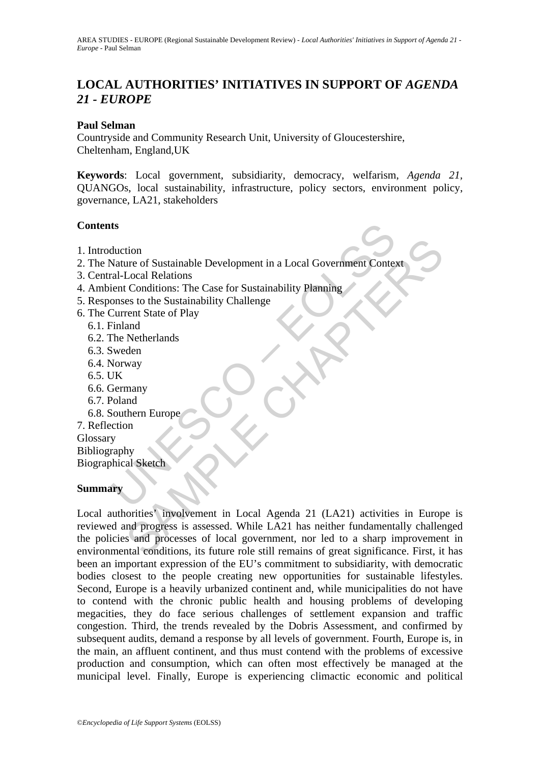# LOCAL AUTHORITIES' INITIATIVES IN SUPPORT OF *AGENDA 21 - EUROPE*

## **Paul Selman**

Countryside and Community Research Unit, University of Gloucestershire, Cheltenham, England,UK

**Keywords**: Local government, subsidiarity, democracy, welfarism, *Agenda 21,* QUANGOs, local sustainability, infrastructure, policy sectors, environment policy, governance, LA21, stakeholders

## **Contents**

- 1. Introduction
- ts<br>
duction<br>
Nature of Sustainable Development in a Local Government Conte:<br>
ral-Local Relations<br>
ient Conditions: The Case for Sustainability Planning<br>
onses to the Sustainability Challenge<br>
Current State of Play<br>
The Net 2. The Nature of Sustainable Development in a Local Government Context
- 3. Central-Local Relations
- 4. Ambient Conditions: The Case for Sustainability Planning
- 5. Responses to the Sustainability Challenge
- 6. The Current State of Play
	- 6.1. Finland
	- 6.2. The Netherlands
	- 6.3. Sweden
	- 6.4. Norway
	- 6.5. UK
	- 6.6. Germany
	- 6.7. Poland
	- 6.8. Southern Europe

7. Reflection Glossary Bibliography Biographical Sketch

### **Summary**

tion<br>
Local Relations<br>
Local Relations<br>
Conditions: The Case for Sustainability Planning<br>
es to the Sustainability Challenge<br>
erent State of Play<br>
and<br>
Metherlands<br>
way<br>
many<br>
many<br>
many<br>
many<br>
way<br>
al Sketch<br>
way<br>
al Sket Local authorities' involvement in Local Agenda 21 (LA21) activities in Europe is reviewed and progress is assessed. While LA21 has neither fundamentally challenged the policies and processes of local government, nor led to a sharp improvement in environmental conditions, its future role still remains of great significance. First, it has been an important expression of the EU's commitment to subsidiarity, with democratic bodies closest to the people creating new opportunities for sustainable lifestyles. Second, Europe is a heavily urbanized continent and, while municipalities do not have to contend with the chronic public health and housing problems of developing megacities, they do face serious challenges of settlement expansion and traffic congestion. Third, the trends revealed by the Dobris Assessment, and confirmed by subsequent audits, demand a response by all levels of government. Fourth, Europe is, in the main, an affluent continent, and thus must contend with the problems of excessive production and consumption, which can often most effectively be managed at the municipal level. Finally, Europe is experiencing climactic economic and political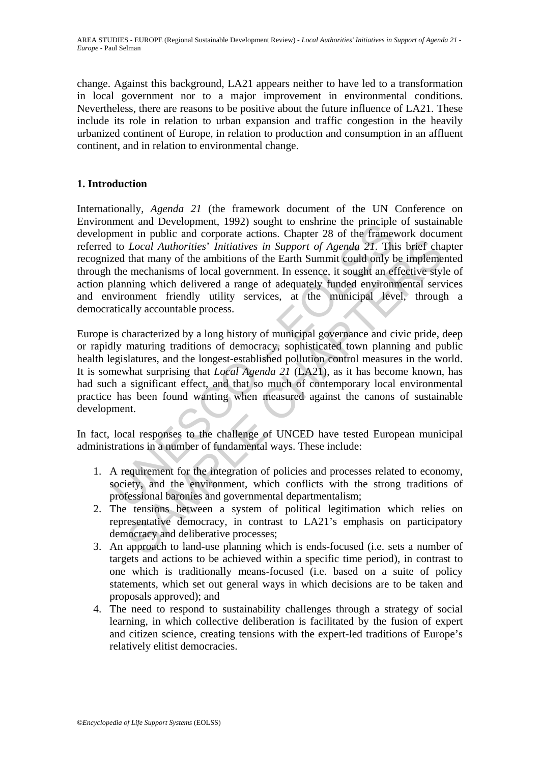change. Against this background, LA21 appears neither to have led to a transformation in local government nor to a major improvement in environmental conditions. Nevertheless, there are reasons to be positive about the future influence of LA21. These include its role in relation to urban expansion and traffic congestion in the heavily urbanized continent of Europe, in relation to production and consumption in an affluent continent, and in relation to environmental change.

## **1. Introduction**

ment and Development, 1992) sought to ensimme the principle<br>ment in public and crypract actions. Chapter 28 of the frameworth to Local Authorities' Initiatives in Support of Agenda 21. This<br>red that many of the ambitions o Internationally, *Agenda 21* (the framework document of the UN Conference on Environment and Development, 1992) sought to enshrine the principle of sustainable development in public and corporate actions. Chapter 28 of the framework document referred to *Local Authorities*' *Initiatives in Support of Agenda 21*. This brief chapter recognized that many of the ambitions of the Earth Summit could only be implemented through the mechanisms of local government. In essence, it sought an effective style of action planning which delivered a range of adequately funded environmental services and environment friendly utility services, at the municipal level, through a democratically accountable process.

Example the absorber and the integration of the state of the state of the and Authorities' Initiatives in Support of Agenda 21. This brief chan that many of the ambitions of the Earth Summit could only be impleme mechanis Europe is characterized by a long history of municipal governance and civic pride, deep or rapidly maturing traditions of democracy, sophisticated town planning and public health legislatures, and the longest-established pollution control measures in the world. It is somewhat surprising that *Local Agenda 21* (LA21), as it has become known, has had such a significant effect, and that so much of contemporary local environmental practice has been found wanting when measured against the canons of sustainable development.

In fact, local responses to the challenge of UNCED have tested European municipal administrations in a number of fundamental ways. These include:

- 1. A requirement for the integration of policies and processes related to economy, society, and the environment, which conflicts with the strong traditions of professional baronies and governmental departmentalism;
- 2. The tensions between a system of political legitimation which relies on representative democracy, in contrast to LA21's emphasis on participatory democracy and deliberative processes;
- 3. An approach to land-use planning which is ends-focused (i.e. sets a number of targets and actions to be achieved within a specific time period), in contrast to one which is traditionally means-focused (i.e. based on a suite of policy statements, which set out general ways in which decisions are to be taken and proposals approved); and
- 4. The need to respond to sustainability challenges through a strategy of social learning, in which collective deliberation is facilitated by the fusion of expert and citizen science, creating tensions with the expert-led traditions of Europe's relatively elitist democracies.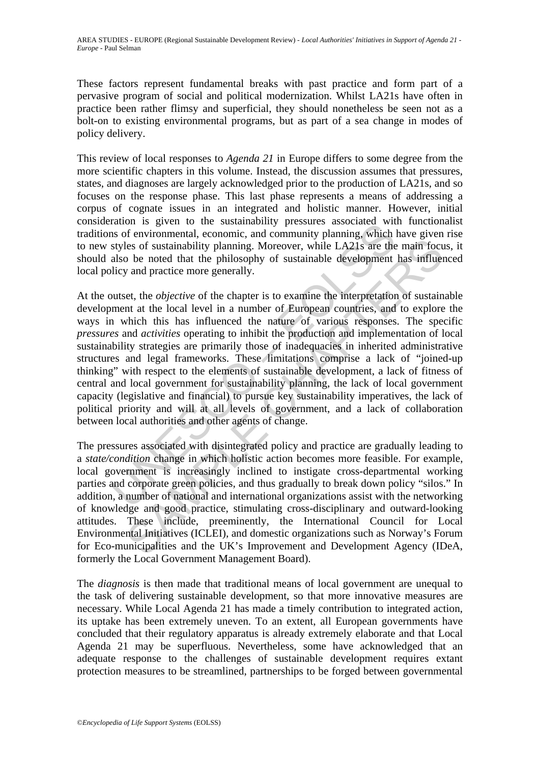These factors represent fundamental breaks with past practice and form part of a pervasive program of social and political modernization. Whilst LA21s have often in practice been rather flimsy and superficial, they should nonetheless be seen not as a bolt-on to existing environmental programs, but as part of a sea change in modes of policy delivery.

This review of local responses to *Agenda 21* in Europe differs to some degree from the more scientific chapters in this volume. Instead, the discussion assumes that pressures, states, and diagnoses are largely acknowledged prior to the production of LA21s, and so focuses on the response phase. This last phase represents a means of addressing a corpus of cognate issues in an integrated and holistic manner. However, initial consideration is given to the sustainability pressures associated with functionalist traditions of environmental, economic, and community planning, which have given rise to new styles of sustainability planning. Moreover, while LA21s are the main focus, it should also be noted that the philosophy of sustainable development has influenced local policy and practice more generally.

and in a given to the sustainability plessues associated with<br>as of environmental, economic, and community planning, which<br>styles of sustainability planning. Moreover, while LA21s are the<br>also be noted that the philosophy les of sustainability planning. Moreover, while LA21s are the main focuse of sustainability planning. Moreover, while LA21s are the main focuse of be noted that the philosophy of sustainable development has influer and pr At the outset, the *objective* of the chapter is to examine the interpretation of sustainable development at the local level in a number of European countries, and to explore the ways in which this has influenced the nature of various responses. The specific *pressures* and *activities* operating to inhibit the production and implementation of local sustainability strategies are primarily those of inadequacies in inherited administrative structures and legal frameworks. These limitations comprise a lack of "joined-up thinking" with respect to the elements of sustainable development, a lack of fitness of central and local government for sustainability planning, the lack of local government capacity (legislative and financial) to pursue key sustainability imperatives, the lack of political priority and will at all levels of government, and a lack of collaboration between local authorities and other agents of change.

The pressures associated with disintegrated policy and practice are gradually leading to a *state/condition* change in which holistic action becomes more feasible. For example, local government is increasingly inclined to instigate cross-departmental working parties and corporate green policies, and thus gradually to break down policy "silos." In addition, a number of national and international organizations assist with the networking of knowledge and good practice, stimulating cross-disciplinary and outward-looking attitudes. These include, preeminently, the International Council for Local Environmental Initiatives (ICLEI), and domestic organizations such as Norway's Forum for Eco-municipalities and the UK's Improvement and Development Agency (IDeA, formerly the Local Government Management Board).

The *diagnosis* is then made that traditional means of local government are unequal to the task of delivering sustainable development, so that more innovative measures are necessary. While Local Agenda 21 has made a timely contribution to integrated action, its uptake has been extremely uneven. To an extent, all European governments have concluded that their regulatory apparatus is already extremely elaborate and that Local Agenda 21 may be superfluous. Nevertheless, some have acknowledged that an adequate response to the challenges of sustainable development requires extant protection measures to be streamlined, partnerships to be forged between governmental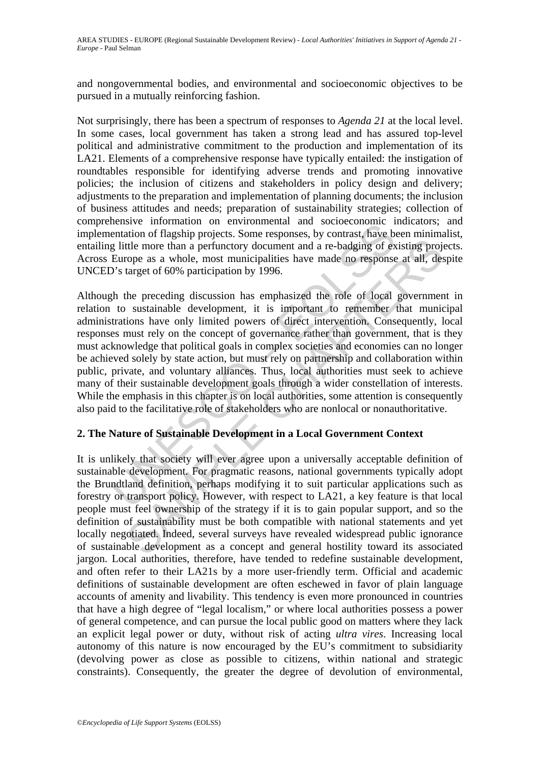and nongovernmental bodies, and environmental and socioeconomic objectives to be pursued in a mutually reinforcing fashion.

Not surprisingly, there has been a spectrum of responses to *Agenda 21* at the local level. In some cases, local government has taken a strong lead and has assured top-level political and administrative commitment to the production and implementation of its LA21. Elements of a comprehensive response have typically entailed: the instigation of roundtables responsible for identifying adverse trends and promoting innovative policies; the inclusion of citizens and stakeholders in policy design and delivery; adjustments to the preparation and implementation of planning documents; the inclusion of business attitudes and needs; preparation of sustainability strategies; collection of comprehensive information on environmental and socioeconomic indicators; and implementation of flagship projects. Some responses, by contrast, have been minimalist, entailing little more than a perfunctory document and a re-badging of existing projects. Across Europe as a whole, most municipalities have made no response at all, despite UNCED's target of 60% participation by 1996.

eminimation of environmental and societion<br>tentation of flagship projects. Some responses, by contrast, have be<br>glittle more than a perfunctory document and a re-badging of ex-<br>Europe as a whole, most municipalities have m the more than a perfunctory document and are-badging of existing projective the more than a perfunctory document and a re-badging of existing projection operation by 1996.<br>
the preceding discussion has emphasized the role Although the preceding discussion has emphasized the role of local government in relation to sustainable development, it is important to remember that municipal administrations have only limited powers of direct intervention. Consequently, local responses must rely on the concept of governance rather than government, that is they must acknowledge that political goals in complex societies and economies can no longer be achieved solely by state action, but must rely on partnership and collaboration within public, private, and voluntary alliances. Thus, local authorities must seek to achieve many of their sustainable development goals through a wider constellation of interests. While the emphasis in this chapter is on local authorities, some attention is consequently also paid to the facilitative role of stakeholders who are nonlocal or nonauthoritative.

## **2. The Nature of Sustainable Development in a Local Government Context**

It is unlikely that society will ever agree upon a universally acceptable definition of sustainable development. For pragmatic reasons, national governments typically adopt the Brundtland definition, perhaps modifying it to suit particular applications such as forestry or transport policy. However, with respect to LA21, a key feature is that local people must feel ownership of the strategy if it is to gain popular support, and so the definition of sustainability must be both compatible with national statements and yet locally negotiated. Indeed, several surveys have revealed widespread public ignorance of sustainable development as a concept and general hostility toward its associated jargon. Local authorities, therefore, have tended to redefine sustainable development, and often refer to their LA21s by a more user-friendly term. Official and academic definitions of sustainable development are often eschewed in favor of plain language accounts of amenity and livability. This tendency is even more pronounced in countries that have a high degree of "legal localism," or where local authorities possess a power of general competence, and can pursue the local public good on matters where they lack an explicit legal power or duty, without risk of acting *ultra vires*. Increasing local autonomy of this nature is now encouraged by the EU's commitment to subsidiarity (devolving power as close as possible to citizens, within national and strategic constraints). Consequently, the greater the degree of devolution of environmental,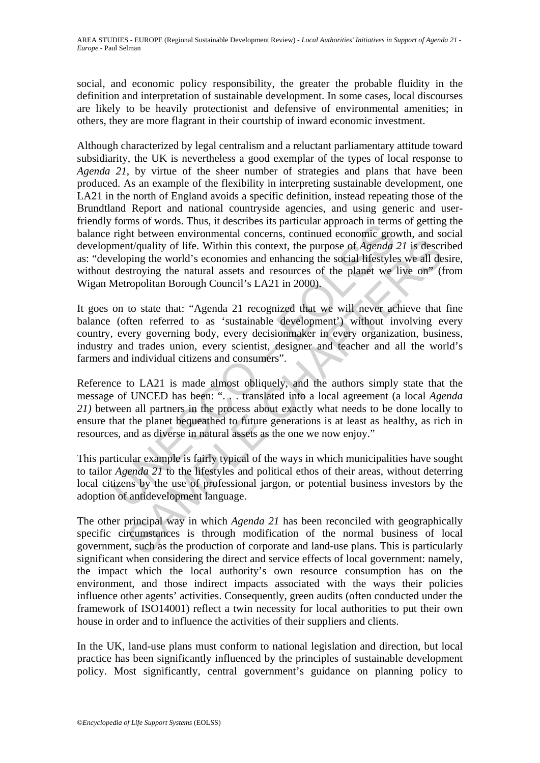social, and economic policy responsibility, the greater the probable fluidity in the definition and interpretation of sustainable development. In some cases, local discourses are likely to be heavily protectionist and defensive of environmental amenities; in others, they are more flagrant in their courtship of inward economic investment.

Fight between environmental concerns, continued application in terms<br>right between environmental concerns, continued economic gro-<br>ment/quality of life. Within this context, the purpose of *Agenda*<br>reloping the world's eco Although characterized by legal centralism and a reluctant parliamentary attitude toward subsidiarity, the UK is nevertheless a good exemplar of the types of local response to *Agenda 21*, by virtue of the sheer number of strategies and plans that have been produced. As an example of the flexibility in interpreting sustainable development, one LA21 in the north of England avoids a specific definition, instead repeating those of the Brundtland Report and national countryside agencies, and using generic and userfriendly forms of words. Thus, it describes its particular approach in terms of getting the balance right between environmental concerns, continued economic growth, and social development/quality of life. Within this context, the purpose of *Agenda 21* is described as: "developing the world's economies and enhancing the social lifestyles we all desire, without destroying the natural assets and resources of the planet we live on" (from Wigan Metropolitan Borough Council's LA21 in 2000).

Interpret and tracks are the process and the method and the section<br>privative of the number of  $\Lambda$  and  $\Lambda$  and  $\Lambda$  and  $\Lambda$  and  $\Lambda$  and  $\Lambda$  and  $\Lambda$  and  $\Lambda$  and  $\Lambda$  and  $\Lambda$  and  $\Lambda$  and  $\Lambda$  and  $\Lambda$  and  $\Lambda$  and It goes on to state that: "Agenda 21 recognized that we will never achieve that fine balance (often referred to as 'sustainable development') without involving every country, every governing body, every decisionmaker in every organization, business, industry and trades union, every scientist, designer and teacher and all the world's farmers and individual citizens and consumers".

Reference to LA21 is made almost obliquely, and the authors simply state that the message of UNCED has been: ". . . translated into a local agreement (a local *Agenda 21)* between all partners in the process about exactly what needs to be done locally to ensure that the planet bequeathed to future generations is at least as healthy, as rich in resources, and as diverse in natural assets as the one we now enjoy."

This particular example is fairly typical of the ways in which municipalities have sought to tailor *Agenda 21* to the lifestyles and political ethos of their areas, without deterring local citizens by the use of professional jargon, or potential business investors by the adoption of antidevelopment language.

The other principal way in which *Agenda 21* has been reconciled with geographically specific circumstances is through modification of the normal business of local government, such as the production of corporate and land-use plans. This is particularly significant when considering the direct and service effects of local government: namely, the impact which the local authority's own resource consumption has on the environment, and those indirect impacts associated with the ways their policies influence other agents' activities. Consequently, green audits (often conducted under the framework of ISO14001) reflect a twin necessity for local authorities to put their own house in order and to influence the activities of their suppliers and clients.

In the UK, land-use plans must conform to national legislation and direction, but local practice has been significantly influenced by the principles of sustainable development policy. Most significantly, central government's guidance on planning policy to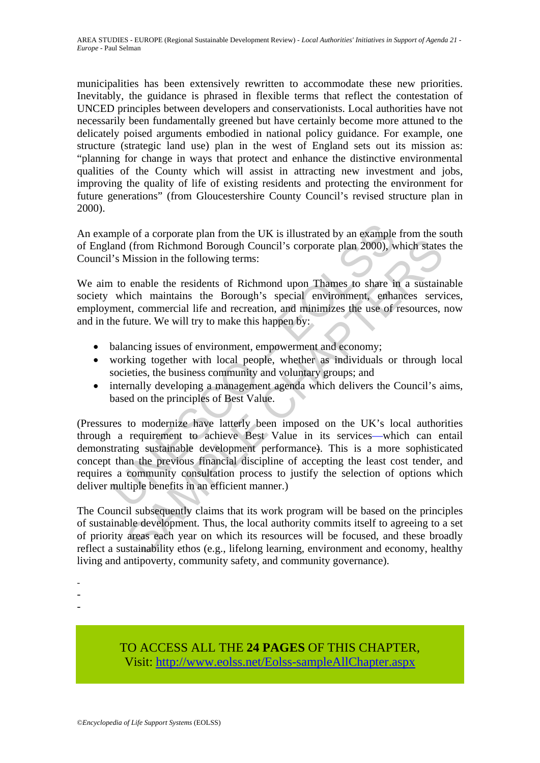municipalities has been extensively rewritten to accommodate these new priorities. Inevitably, the guidance is phrased in flexible terms that reflect the contestation of UNCED principles between developers and conservationists. Local authorities have not necessarily been fundamentally greened but have certainly become more attuned to the delicately poised arguments embodied in national policy guidance. For example, one structure (strategic land use) plan in the west of England sets out its mission as: "planning for change in ways that protect and enhance the distinctive environmental qualities of the County which will assist in attracting new investment and jobs, improving the quality of life of existing residents and protecting the environment for future generations" (from Gloucestershire County Council's revised structure plan in 2000).

An example of a corporate plan from the UK is illustrated by an example from the south of England (from Richmond Borough Council's corporate plan 2000), which states the Council's Mission in the following terms:

We aim to enable the residents of Richmond upon Thames to share in a sustainable society which maintains the Borough's special environment, enhances services, employment, commercial life and recreation, and minimizes the use of resources, now and in the future. We will try to make this happen by:

- balancing issues of environment, empowerment and economy;
- working together with local people, whether as individuals or through local societies, the business community and voluntary groups; and
- internally developing a management agenda which delivers the Council's aims, based on the principles of Best Value.

mple of a corporate plan from the UK is illustrated by an example and (from Richmond Borough Council's corporate plan 2000), w<br>
's Mission in the following terms:<br>
to enable the residents of Richmond upon Thames to share i (from Richmond Borough Council's corporate plan 2000), which states<br>
Mission in the following terms:<br>
enable the residents of Richmond upon Thames to share in a sustain<br>
hich maintains the Borough's special environment, en (Pressures to modernize have latterly been imposed on the UK's local authorities through a requirement to achieve Best Value in its services—which can entail demonstrating sustainable development performance). This is a more sophisticated concept than the previous financial discipline of accepting the least cost tender, and requires a community consultation process to justify the selection of options which deliver multiple benefits in an efficient manner.)

The Council subsequently claims that its work program will be based on the principles of sustainable development. Thus, the local authority commits itself to agreeing to a set of priority areas each year on which its resources will be focused, and these broadly reflect a sustainability ethos (e.g., lifelong learning, environment and economy, healthy living and antipoverty, community safety, and community governance).

TO ACCESS ALL THE **24 PAGES** OF THIS CHAPTER, Visit[: http://www.eolss.net/Eolss-sampleAllChapter.aspx](https://www.eolss.net/ebooklib/sc_cart.aspx?File=E1-53-27)

<sup>-</sup> 

<sup>-</sup>  -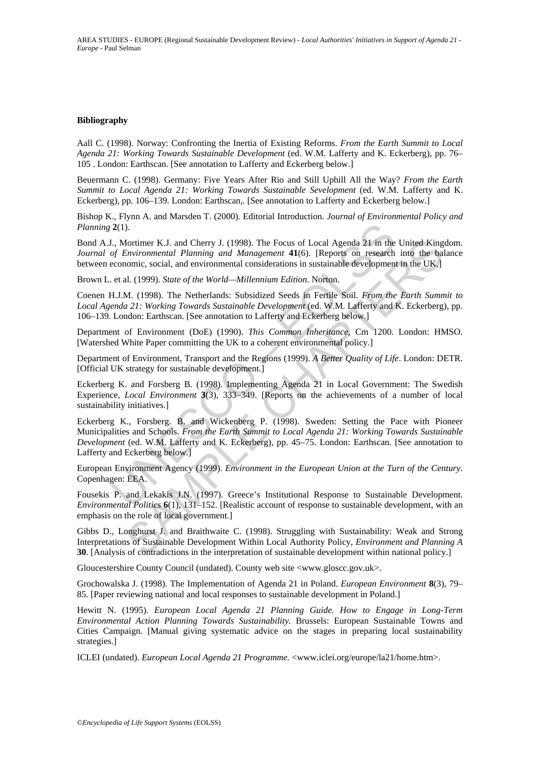### **Bibliography**

Aall C. (1998). Norway: Confronting the Inertia of Existing Reforms. *From the Earth Summit to Local Agenda 21: Working Towards Sustainable Development* (ed. W.M. Lafferty and K. Eckerberg), pp. 76– 105 . London: Earthscan. [See annotation to Lafferty and Eckerberg below.]

Beuermann C. (1998). Germany: Five Years After Rio and Still Uphill All the Way? *From the Earth Summit to Local Agenda 21: Working Towards Sustainable Sevelopment* (ed. W.M. Lafferty and K. Eckerberg), pp. 106–139. London: Earthscan,. [See annotation to Lafferty and Eckerberg below.]

Bishop K., Flynn A. and Marsden T. (2000). Editorial Introduction. *Journal of Environmental Policy and Planning* **2**(1).

Bond A.J., Mortimer K.J. and Cherry J. (1998). The Focus of Local Agenda 21 in the United Kingdom. *Journal of Environmental Planning and Management* **41**(6). [Reports on research into the balance between economic, social, and environmental considerations in sustainable development in the UK.]

Brown L. et al. (1999). *State of the World—Millennium Edition*. Norton.

Coenen H.J.M. (1998). The Netherlands: Subsidized Seeds in Fertile Soil. *From the Earth Summit to*  Local Agenda 21: Working Towards Sustainable Development (ed. W.M. Lafferty and K. Eckerberg), pp. 106–139. London: Earthscan. [See annotation to Lafferty and Eckerberg below.]

Department of Environment (DoE) (1990). *This Common Inheritance*, Cm 1200. London: HMSO. [Watershed White Paper committing the UK to a coherent environmental policy.]

Department of Environment, Transport and the Regions (1999). *A Better Quality of Life*. London: DETR. [Official UK strategy for sustainable development.]

Eckerberg K. and Forsberg B. (1998). Implementing Agenda 21 in Local Government: The Swedish Experience, *Local Environment* **3**(3), 333–349. [Reports on the achievements of a number of local sustainability initiatives.]

2(1).<br>
1, Mortimer K.J. and Cherry J. (1998). The Focus of Local Agenda 21 in the Corromomental Planning and Management 41(6). [Reports on research corromental Planning and Management 41(6). [Reports on research eccession Iontimer K.J. and Cherry J. (1998). The Focus of Local Agenda 21 in the United King<br>
Environmental Planning and Management 41(6). [Reports on research into the bat<br>
iontine, social, and environmental considerations in sust Eckerberg K., Forsberg. B. and Wickenberg P. (1998). Sweden: Setting the Pace with Pioneer Municipalities and Schools. *From the Earth Summit to Local Agenda 21: Working Towards Sustainable Development* (ed. W.M. Lafferty and K. Eckerberg), pp. 45–75. London: Earthscan. [See annotation to Lafferty and Eckerberg below.]

European Environment Agency (1999). *Environment in the European Union at the Turn of the Century*. Copenhagen: EEA.

Fousekis P. and Lekakis J.N. (1997). Greece's Institutional Response to Sustainable Development. *Environmental Politics* **6**(1), 131–152. [Realistic account of response to sustainable development, with an emphasis on the role of local government.]

Gibbs D., Longhurst J. and Braithwaite C. (1998). Struggling with Sustainability: Weak and Strong Interpretations of Sustainable Development Within Local Authority Policy, *Environment and Planning A* **30**. [Analysis of contradictions in the interpretation of sustainable development within national policy.]

Gloucestershire County Council (undated). County web site <www.gloscc.gov.uk>.

Grochowalska J. (1998). The Implementation of Agenda 21 in Poland. *European Environment* **8**(3), 79– 85. [Paper reviewing national and local responses to sustainable development in Poland.]

Hewitt N. (1995). *European Local Agenda 21 Planning Guide. How to Engage in Long-Term Environmental Action Planning Towards Sustainability.* Brussels: European Sustainable Towns and Cities Campaign. [Manual giving systematic advice on the stages in preparing local sustainability strategies.]

ICLEI (undated). *European Local Agenda 21 Programme.* <www.iclei.org/europe/la21/home.htm>.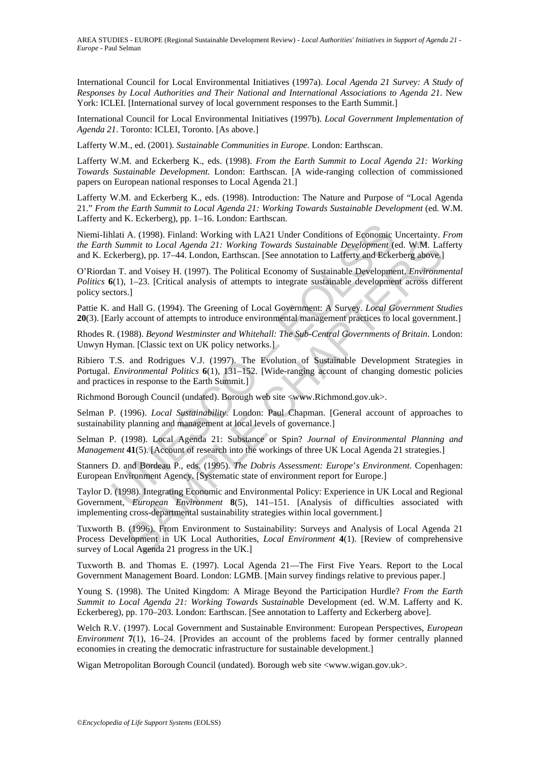International Council for Local Environmental Initiatives (1997a). *Local Agenda 21 Survey: A Study of Responses by Local Authorities and Their National and International Associations to Agenda 21*. New York: ICLEI. [International survey of local government responses to the Earth Summit.]

International Council for Local Environmental Initiatives (1997b). *Local Government Implementation of Agenda 21*. Toronto: ICLEI, Toronto. [As above.]

Lafferty W.M., ed. (2001). *Sustainable Communities in Europe*. London: Earthscan.

Lafferty W.M. and Eckerberg K., eds. (1998). *From the Earth Summit to Local Agenda 21: Working Towards Sustainable Development*. London: Earthscan. [A wide-ranging collection of commissioned papers on European national responses to Local Agenda 21.]

Lafferty W.M. and Eckerberg K., eds. (1998). Introduction: The Nature and Purpose of "Local Agenda 21." *From the Earth Summit to Local Agenda 21: Working Towards Sustainable Development* (ed. W.M. Lafferty and K. Eckerberg), pp. 1–16. London: Earthscan.

Niemi-Iihlati A. (1998). Finland: Working with LA21 Under Conditions of Economic Uncertainty. *From the Earth Summit to Local Agenda 21: Working Towards Sustainable Development* (ed. W.M. Lafferty and K. Eckerberg), pp. 17–44. London, Earthscan. [See annotation to Lafferty and Eckerberg above.]

O'Riordan T. and Voisey H. (1997). The Political Economy of Sustainable Development. *Environmental Politics* **6**(1), 1–23. [Critical analysis of attempts to integrate sustainable development across different policy sectors.]

Pattie K. and Hall G. (1994). The Greening of Local Government: A Survey. *Local Government Studies* **20**(3). [Early account of attempts to introduce environmental management practices to local government.]

Rhodes R. (1988). *Beyond Westminster and Whitehall: The Sub-Central Governments of Britain*. London: Unwyn Hyman. [Classic text on UK policy networks.]

mati A. (1998). Finland: Working with LA21 Under Conditions of Economic Islammit to Local Agenda 21: Working Towards Sustainable Development (exerberg), pp. 17–44. London, Earthscan. [See annotation to Lafferty and Eckerbe For Costar Harman Harta Constrainers and Sustainable Development ed. W.M. Latery, pp. 17-44. London, Earthscan. [See annotation to Lafferty and Eckerberg above]<br>t. and Voisey H. (1997). The Political Economy of Sustainable Ribiero T.S. and Rodrigues V.J. (1997). The Evolution of Sustainable Development Strategies in Portugal. *Environmental Politics* **6**(1), 131–152. [Wide-ranging account of changing domestic policies and practices in response to the Earth Summit.]

Richmond Borough Council (undated). Borough web site <www.Richmond.gov.uk>.

Selman P. (1996). *Local Sustainability*. London: Paul Chapman. [General account of approaches to sustainability planning and management at local levels of governance.]

Selman P. (1998). Local Agenda 21: Substance or Spin? *Journal of Environmental Planning and Management* **41**(5). [Account of research into the workings of three UK Local Agenda 21 strategies.]

Stanners D. and Bordeau P., eds. (1995). *The Dobris Assessment: Europe*'*s Environment*. Copenhagen: European Environment Agency. [Systematic state of environment report for Europe.]

Taylor D. (1998). Integrating Economic and Environmental Policy: Experience in UK Local and Regional Government, *European Environment* **8**(5), 141–151. [Analysis of difficulties associated with implementing cross-departmental sustainability strategies within local government.]

Tuxworth B. (1996). From Environment to Sustainability: Surveys and Analysis of Local Agenda 21 Process Development in UK Local Authorities, *Local Environment* **4**(1). [Review of comprehensive survey of Local Agenda 21 progress in the UK.]

Tuxworth B. and Thomas E. (1997). Local Agenda 21—The First Five Years. Report to the Local Government Management Board. London: LGMB. [Main survey findings relative to previous paper.]

Young S. (1998). The United Kingdom: A Mirage Beyond the Participation Hurdle? *From the Earth Summit to Local Agenda 21: Working Towards Sustainab*le Development (ed. W.M. Lafferty and K. Eckerbereg), pp. 170–203. London: Earthscan. [See annotation to Lafferty and Eckerberg above].

Welch R.V. (1997). Local Government and Sustainable Environment: European Perspectives, *European Environment* **7**(1), 16–24. [Provides an account of the problems faced by former centrally planned economies in creating the democratic infrastructure for sustainable development.]

Wigan Metropolitan Borough Council (undated). Borough web site <www.wigan.gov.uk>.